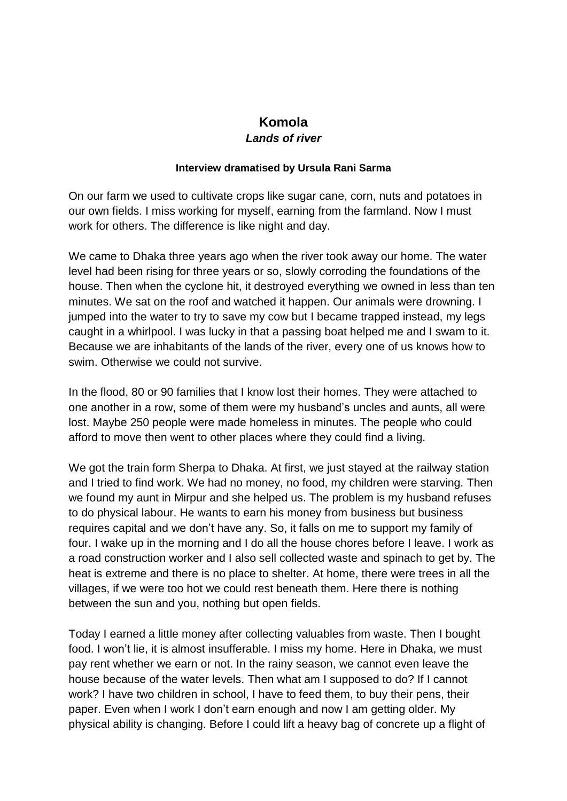## **Komola** *Lands of river*

## **Interview dramatised by Ursula Rani Sarma**

On our farm we used to cultivate crops like sugar cane, corn, nuts and potatoes in our own fields. I miss working for myself, earning from the farmland. Now I must work for others. The difference is like night and day.

We came to Dhaka three years ago when the river took away our home. The water level had been rising for three years or so, slowly corroding the foundations of the house. Then when the cyclone hit, it destroyed everything we owned in less than ten minutes. We sat on the roof and watched it happen. Our animals were drowning. I jumped into the water to try to save my cow but I became trapped instead, my legs caught in a whirlpool. I was lucky in that a passing boat helped me and I swam to it. Because we are inhabitants of the lands of the river, every one of us knows how to swim. Otherwise we could not survive.

In the flood, 80 or 90 families that I know lost their homes. They were attached to one another in a row, some of them were my husband's uncles and aunts, all were lost. Maybe 250 people were made homeless in minutes. The people who could afford to move then went to other places where they could find a living.

We got the train form Sherpa to Dhaka. At first, we just stayed at the railway station and I tried to find work. We had no money, no food, my children were starving. Then we found my aunt in Mirpur and she helped us. The problem is my husband refuses to do physical labour. He wants to earn his money from business but business requires capital and we don't have any. So, it falls on me to support my family of four. I wake up in the morning and I do all the house chores before I leave. I work as a road construction worker and I also sell collected waste and spinach to get by. The heat is extreme and there is no place to shelter. At home, there were trees in all the villages, if we were too hot we could rest beneath them. Here there is nothing between the sun and you, nothing but open fields.

Today I earned a little money after collecting valuables from waste. Then I bought food. I won't lie, it is almost insufferable. I miss my home. Here in Dhaka, we must pay rent whether we earn or not. In the rainy season, we cannot even leave the house because of the water levels. Then what am I supposed to do? If I cannot work? I have two children in school, I have to feed them, to buy their pens, their paper. Even when I work I don't earn enough and now I am getting older. My physical ability is changing. Before I could lift a heavy bag of concrete up a flight of